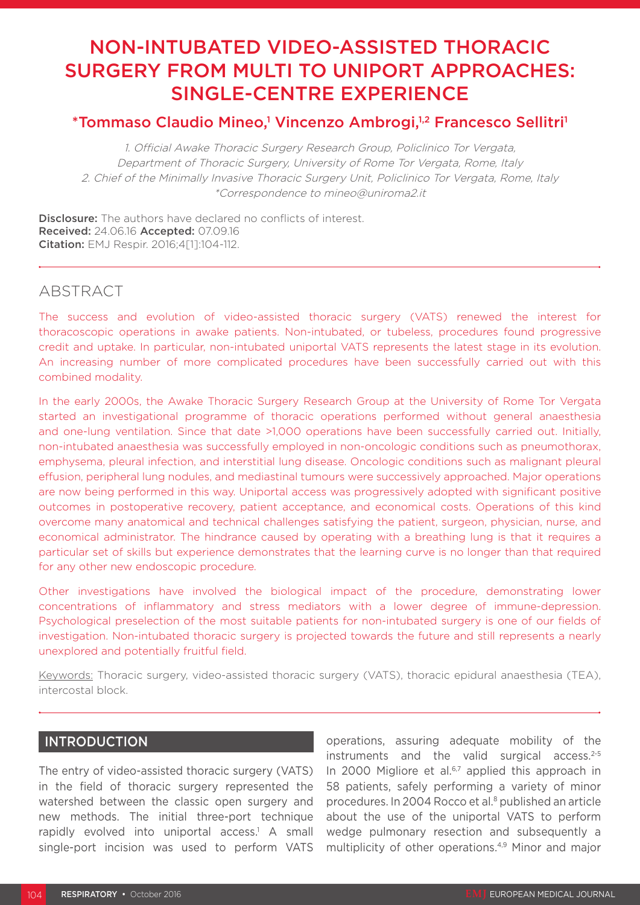# NON-INTUBATED VIDEO-ASSISTED THORACIC SURGERY FROM MULTI TO UNIPORT APPROACHES: SINGLE-CENTRE EXPERIENCE

# \*Tommaso Claudio Mineo,<sup>1</sup> Vincenzo Ambrogi,<sup>1,2</sup> Francesco Sellitri<sup>1</sup>

1. Official Awake Thoracic Surgery Research Group, Policlinico Tor Vergata, Department of Thoracic Surgery, University of Rome Tor Vergata, Rome, Italy 2. Chief of the Minimally Invasive Thoracic Surgery Unit, Policlinico Tor Vergata, Rome, Italy \*Correspondence to mineo@uniroma2.it

Disclosure: The authors have declared no conflicts of interest. Received: 24.06.16 Accepted: 07.09.16 Citation: EMJ Respir. 2016;4[1]:104-112.

### ABSTRACT

The success and evolution of video-assisted thoracic surgery (VATS) renewed the interest for thoracoscopic operations in awake patients. Non-intubated, or tubeless, procedures found progressive credit and uptake. In particular, non-intubated uniportal VATS represents the latest stage in its evolution. An increasing number of more complicated procedures have been successfully carried out with this combined modality.

In the early 2000s, the Awake Thoracic Surgery Research Group at the University of Rome Tor Vergata started an investigational programme of thoracic operations performed without general anaesthesia and one-lung ventilation. Since that date >1,000 operations have been successfully carried out. Initially, non-intubated anaesthesia was successfully employed in non-oncologic conditions such as pneumothorax, emphysema, pleural infection, and interstitial lung disease. Oncologic conditions such as malignant pleural effusion, peripheral lung nodules, and mediastinal tumours were successively approached. Major operations are now being performed in this way. Uniportal access was progressively adopted with significant positive outcomes in postoperative recovery, patient acceptance, and economical costs. Operations of this kind overcome many anatomical and technical challenges satisfying the patient, surgeon, physician, nurse, and economical administrator. The hindrance caused by operating with a breathing lung is that it requires a particular set of skills but experience demonstrates that the learning curve is no longer than that required for any other new endoscopic procedure.

Other investigations have involved the biological impact of the procedure, demonstrating lower concentrations of inflammatory and stress mediators with a lower degree of immune-depression. Psychological preselection of the most suitable patients for non-intubated surgery is one of our fields of investigation. Non-intubated thoracic surgery is projected towards the future and still represents a nearly unexplored and potentially fruitful field.

Keywords: Thoracic surgery, video-assisted thoracic surgery (VATS), thoracic epidural anaesthesia (TEA), intercostal block.

### INTRODUCTION

The entry of video-assisted thoracic surgery (VATS) in the field of thoracic surgery represented the watershed between the classic open surgery and new methods. The initial three-port technique rapidly evolved into uniportal access.<sup>1</sup> A small single-port incision was used to perform VATS

operations, assuring adequate mobility of the instruments and the valid surgical access. $2-5$ In 2000 Migliore et al.<sup>6,7</sup> applied this approach in 58 patients, safely performing a variety of minor procedures. In 2004 Rocco et al.8 published an article about the use of the uniportal VATS to perform wedge pulmonary resection and subsequently a multiplicity of other operations.4,9 Minor and major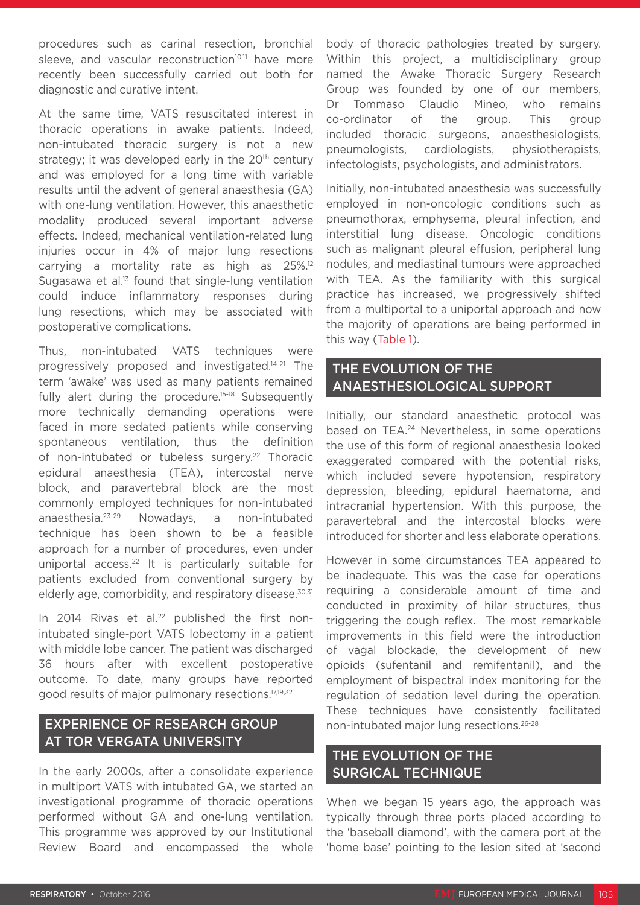procedures such as carinal resection, bronchial sleeve, and vascular reconstruction<sup>10,11</sup> have more recently been successfully carried out both for diagnostic and curative intent.

At the same time, VATS resuscitated interest in thoracic operations in awake patients. Indeed, non-intubated thoracic surgery is not a new strategy; it was developed early in the  $20<sup>th</sup>$  century and was employed for a long time with variable results until the advent of general anaesthesia (GA) with one-lung ventilation. However, this anaesthetic modality produced several important adverse effects. Indeed, mechanical ventilation-related lung injuries occur in 4% of major lung resections carrying a mortality rate as high as 25%.<sup>12</sup> Sugasawa et al.<sup>13</sup> found that single-lung ventilation could induce inflammatory responses during lung resections, which may be associated with postoperative complications.

Thus, non-intubated VATS techniques were progressively proposed and investigated.14-21 The term 'awake' was used as many patients remained fully alert during the procedure.<sup>15-18</sup> Subsequently more technically demanding operations were faced in more sedated patients while conserving spontaneous ventilation, thus the definition of non-intubated or tubeless surgery.<sup>22</sup> Thoracic epidural anaesthesia (TEA), intercostal nerve block, and paravertebral block are the most commonly employed techniques for non-intubated anaesthesia.23-29 Nowadays, a non-intubated technique has been shown to be a feasible approach for a number of procedures, even under uniportal access.22 It is particularly suitable for patients excluded from conventional surgery by elderly age, comorbidity, and respiratory disease.<sup>30,31</sup>

In 2014 Rivas et al.<sup>22</sup> published the first nonintubated single-port VATS lobectomy in a patient with middle lobe cancer. The patient was discharged 36 hours after with excellent postoperative outcome. To date, many groups have reported good results of major pulmonary resections.17,19,32

# EXPERIENCE OF RESEARCH GROUP AT TOR VERGATA UNIVERSITY

In the early 2000s, after a consolidate experience in multiport VATS with intubated GA, we started an investigational programme of thoracic operations performed without GA and one-lung ventilation. This programme was approved by our Institutional Review Board and encompassed the whole

body of thoracic pathologies treated by surgery. Within this project, a multidisciplinary group named the Awake Thoracic Surgery Research Group was founded by one of our members, Dr Tommaso Claudio Mineo, who remains co-ordinator of the group. This group included thoracic surgeons, anaesthesiologists, pneumologists, cardiologists, physiotherapists, infectologists, psychologists, and administrators.

Initially, non-intubated anaesthesia was successfully employed in non-oncologic conditions such as pneumothorax, emphysema, pleural infection, and interstitial lung disease. Oncologic conditions such as malignant pleural effusion, peripheral lung nodules, and mediastinal tumours were approached with TEA. As the familiarity with this surgical practice has increased, we progressively shifted from a multiportal to a uniportal approach and now the majority of operations are being performed in this way (Table 1).

### THE EVOLUTION OF THE ANAESTHESIOLOGICAL SUPPORT

Initially, our standard anaesthetic protocol was based on TEA.24 Nevertheless, in some operations the use of this form of regional anaesthesia looked exaggerated compared with the potential risks, which included severe hypotension, respiratory depression, bleeding, epidural haematoma, and intracranial hypertension. With this purpose, the paravertebral and the intercostal blocks were introduced for shorter and less elaborate operations.

However in some circumstances TEA appeared to be inadequate. This was the case for operations requiring a considerable amount of time and conducted in proximity of hilar structures, thus triggering the cough reflex. The most remarkable improvements in this field were the introduction of vagal blockade, the development of new opioids (sufentanil and remifentanil), and the employment of bispectral index monitoring for the regulation of sedation level during the operation. These techniques have consistently facilitated non-intubated major lung resections.26-28

# THE EVOLUTION OF THE SURGICAL TECHNIQUE

When we began 15 years ago, the approach was typically through three ports placed according to the 'baseball diamond', with the camera port at the 'home base' pointing to the lesion sited at 'second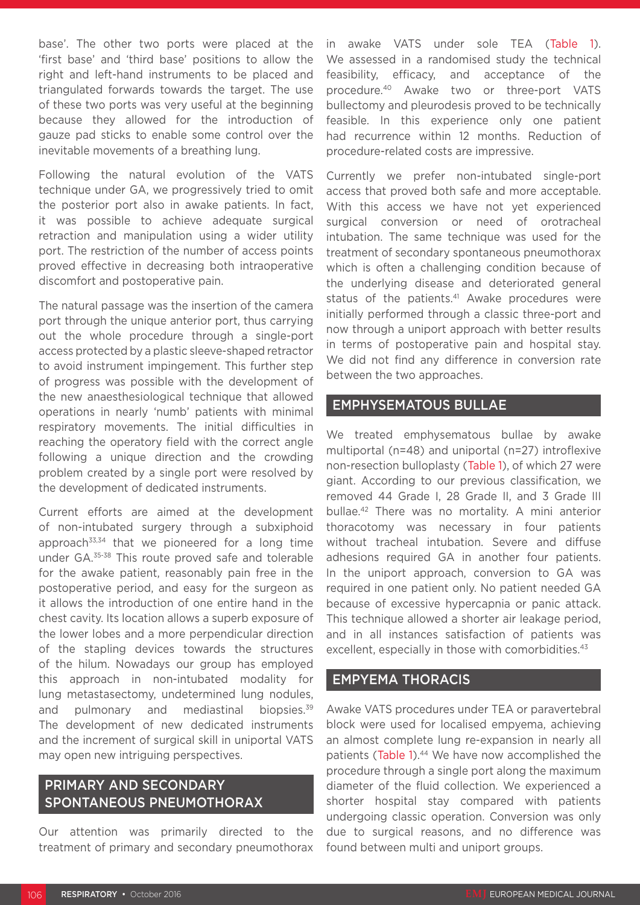base'. The other two ports were placed at the 'first base' and 'third base' positions to allow the right and left-hand instruments to be placed and triangulated forwards towards the target. The use of these two ports was very useful at the beginning because they allowed for the introduction of gauze pad sticks to enable some control over the inevitable movements of a breathing lung.

Following the natural evolution of the VATS technique under GA, we progressively tried to omit the posterior port also in awake patients. In fact, it was possible to achieve adequate surgical retraction and manipulation using a wider utility port. The restriction of the number of access points proved effective in decreasing both intraoperative discomfort and postoperative pain.

The natural passage was the insertion of the camera port through the unique anterior port, thus carrying out the whole procedure through a single-port access protected by a plastic sleeve-shaped retractor to avoid instrument impingement. This further step of progress was possible with the development of the new anaesthesiological technique that allowed operations in nearly 'numb' patients with minimal respiratory movements. The initial difficulties in reaching the operatory field with the correct angle following a unique direction and the crowding problem created by a single port were resolved by the development of dedicated instruments.

Current efforts are aimed at the development of non-intubated surgery through a subxiphoid approach $33,34$  that we pioneered for a long time under GA.35-38 This route proved safe and tolerable for the awake patient, reasonably pain free in the postoperative period, and easy for the surgeon as it allows the introduction of one entire hand in the chest cavity. Its location allows a superb exposure of the lower lobes and a more perpendicular direction of the stapling devices towards the structures of the hilum. Nowadays our group has employed this approach in non-intubated modality for lung metastasectomy, undetermined lung nodules, and pulmonary and mediastinal biopsies.<sup>39</sup> The development of new dedicated instruments and the increment of surgical skill in uniportal VATS may open new intriguing perspectives.

### PRIMARY AND SECONDARY SPONTANEOUS PNEUMOTHORAX

Our attention was primarily directed to the treatment of primary and secondary pneumothorax in awake VATS under sole TEA (Table 1). We assessed in a randomised study the technical feasibility, efficacy, and acceptance of the procedure.40 Awake two or three-port VATS bullectomy and pleurodesis proved to be technically feasible. In this experience only one patient had recurrence within 12 months. Reduction of procedure-related costs are impressive.

Currently we prefer non-intubated single-port access that proved both safe and more acceptable. With this access we have not yet experienced surgical conversion or need of orotracheal intubation. The same technique was used for the treatment of secondary spontaneous pneumothorax which is often a challenging condition because of the underlying disease and deteriorated general status of the patients.<sup>41</sup> Awake procedures were initially performed through a classic three-port and now through a uniport approach with better results in terms of postoperative pain and hospital stay. We did not find any difference in conversion rate between the two approaches.

### EMPHYSEMATOUS BULLAE

We treated emphysematous bullae by awake multiportal (n=48) and uniportal (n=27) introflexive non-resection bulloplasty (Table 1), of which 27 were giant. According to our previous classification, we removed 44 Grade I, 28 Grade II, and 3 Grade III bullae.42 There was no mortality. A mini anterior thoracotomy was necessary in four patients without tracheal intubation. Severe and diffuse adhesions required GA in another four patients. In the uniport approach, conversion to GA was required in one patient only. No patient needed GA because of excessive hypercapnia or panic attack. This technique allowed a shorter air leakage period, and in all instances satisfaction of patients was excellent, especially in those with comorbidities.<sup>43</sup>

### EMPYEMA THORACIS

Awake VATS procedures under TEA or paravertebral block were used for localised empyema, achieving an almost complete lung re-expansion in nearly all patients (Table 1).<sup>44</sup> We have now accomplished the procedure through a single port along the maximum diameter of the fluid collection. We experienced a shorter hospital stay compared with patients undergoing classic operation. Conversion was only due to surgical reasons, and no difference was found between multi and uniport groups.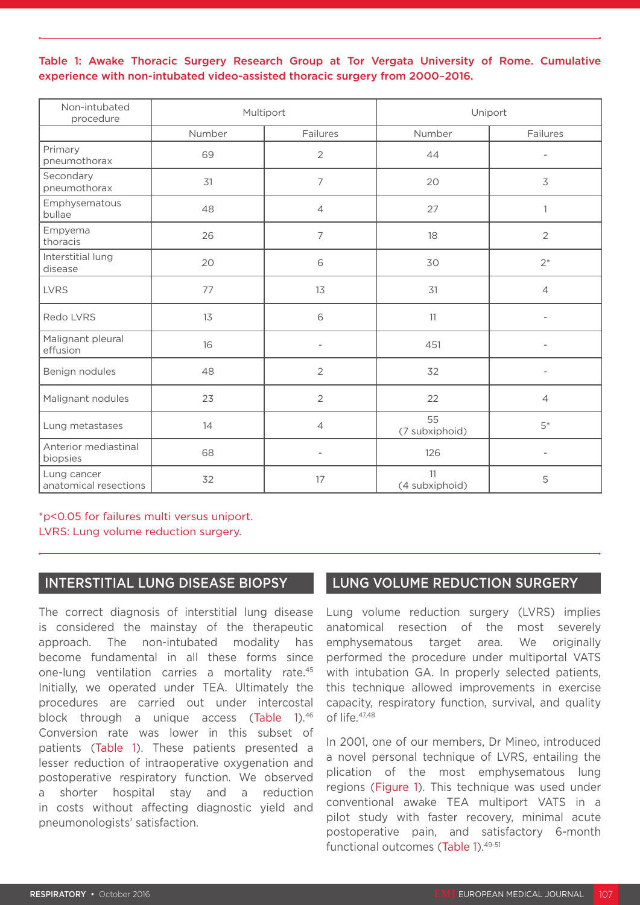### Table 1: Awake Thoracic Surgery Research Group at Tor Vergata University of Rome. Cumulative experience with non-intubated video-assisted thoracic surgery from 2000–2016.

| Non-intubated<br>procedure           | Multiport |                          | Uniport              |                          |
|--------------------------------------|-----------|--------------------------|----------------------|--------------------------|
|                                      | Number    | Failures                 | Number               | Failures                 |
| Primary<br>pneumothorax              | 69        | $\overline{2}$           | 44                   | $\overline{a}$           |
| Secondary<br>pneumothorax            | 31        | $\overline{7}$           | 20                   | 3                        |
| Emphysematous<br>bullae              | 48        | 4                        | 27                   | 1                        |
| Empyema<br>thoracis                  | 26        | 7                        | 18                   | $\overline{2}$           |
| Interstitial lung<br>disease         | 20        | 6                        | 30                   | $2^*$                    |
| <b>LVRS</b>                          | 77        | 13                       | 31                   | $\overline{4}$           |
| Redo LVRS                            | 13        | 6                        | 11                   | $\overline{a}$           |
| Malignant pleural<br>effusion        | 16        | $\overline{\phantom{a}}$ | 451                  |                          |
| Benign nodules                       | 48        | $\overline{2}$           | 32                   | $\overline{\phantom{a}}$ |
| Malignant nodules                    | 23        | $\overline{2}$           | 22                   | $\overline{4}$           |
| Lung metastases                      | 14        | $\overline{4}$           | 55<br>(7 subxiphoid) | $5*$                     |
| Anterior mediastinal<br>biopsies     | 68        | $\overline{a}$           | 126                  |                          |
| Lung cancer<br>anatomical resections | 32        | 17                       | 11<br>(4 subxiphoid) | 5                        |

\*p<0.05 for failures multi versus uniport. LVRS: Lung volume reduction surgery.

### INTERSTITIAL LUNG DISEASE BIOPSY

The correct diagnosis of interstitial lung disease is considered the mainstay of the therapeutic approach. The non-intubated modality has become fundamental in all these forms since one-lung ventilation carries a mortality rate.45 Initially, we operated under TEA. Ultimately the procedures are carried out under intercostal block through a unique access (Table 1).<sup>46</sup> Conversion rate was lower in this subset of patients (Table 1). These patients presented a lesser reduction of intraoperative oxygenation and postoperative respiratory function. We observed a shorter hospital stay and a reduction in costs without affecting diagnostic yield and pneumonologists' satisfaction.

### LUNG VOLUME REDUCTION SURGERY

Lung volume reduction surgery (LVRS) implies anatomical resection of the most severely emphysematous target area. We originally performed the procedure under multiportal VATS with intubation GA. In properly selected patients, this technique allowed improvements in exercise capacity, respiratory function, survival, and quality of life.<sup>47,48</sup>

In 2001, one of our members, Dr Mineo, introduced a novel personal technique of LVRS, entailing the plication of the most emphysematous lung regions (Figure 1). This technique was used under conventional awake TEA multiport VATS in a pilot study with faster recovery, minimal acute postoperative pain, and satisfactory 6-month functional outcomes (Table 1).<sup>49-51</sup>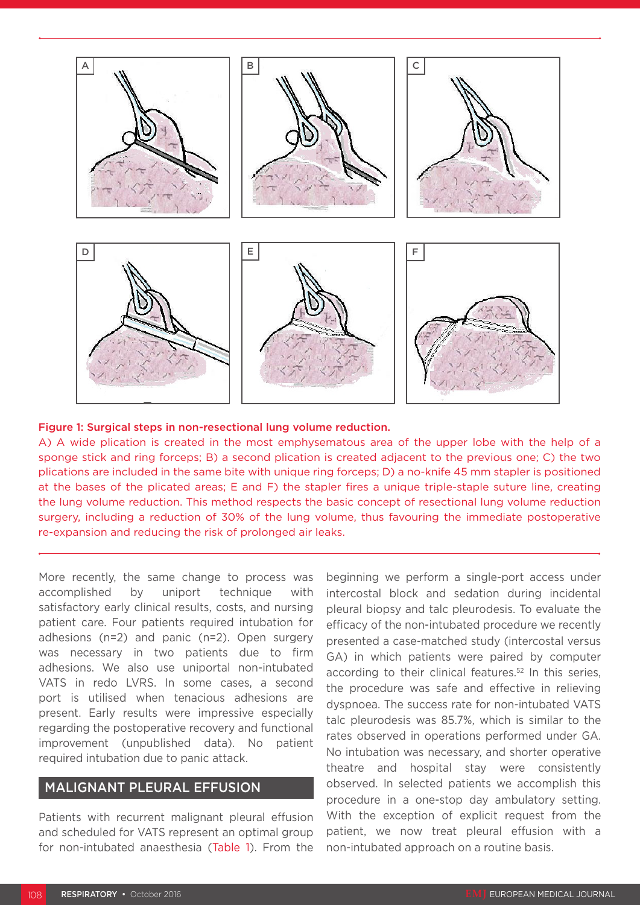

#### Figure 1: Surgical steps in non-resectional lung volume reduction.

A) A wide plication is created in the most emphysematous area of the upper lobe with the help of a sponge stick and ring forceps; B) a second plication is created adjacent to the previous one; C) the two plications are included in the same bite with unique ring forceps; D) a no-knife 45 mm stapler is positioned at the bases of the plicated areas; E and F) the stapler fires a unique triple-staple suture line, creating the lung volume reduction. This method respects the basic concept of resectional lung volume reduction surgery, including a reduction of 30% of the lung volume, thus favouring the immediate postoperative re-expansion and reducing the risk of prolonged air leaks.

More recently, the same change to process was accomplished by uniport technique with satisfactory early clinical results, costs, and nursing patient care. Four patients required intubation for adhesions (n=2) and panic (n=2). Open surgery was necessary in two patients due to firm adhesions. We also use uniportal non-intubated VATS in redo LVRS. In some cases, a second port is utilised when tenacious adhesions are present. Early results were impressive especially regarding the postoperative recovery and functional improvement (unpublished data). No patient required intubation due to panic attack.

### MALIGNANT PLEURAL EFFUSION

Patients with recurrent malignant pleural effusion and scheduled for VATS represent an optimal group for non-intubated anaesthesia (Table 1). From the beginning we perform a single-port access under intercostal block and sedation during incidental pleural biopsy and talc pleurodesis. To evaluate the efficacy of the non-intubated procedure we recently presented a case-matched study (intercostal versus GA) in which patients were paired by computer according to their clinical features.<sup>52</sup> In this series, the procedure was safe and effective in relieving dyspnoea. The success rate for non-intubated VATS talc pleurodesis was 85.7%, which is similar to the rates observed in operations performed under GA. No intubation was necessary, and shorter operative theatre and hospital stay were consistently observed. In selected patients we accomplish this procedure in a one-stop day ambulatory setting. With the exception of explicit request from the patient, we now treat pleural effusion with a non-intubated approach on a routine basis.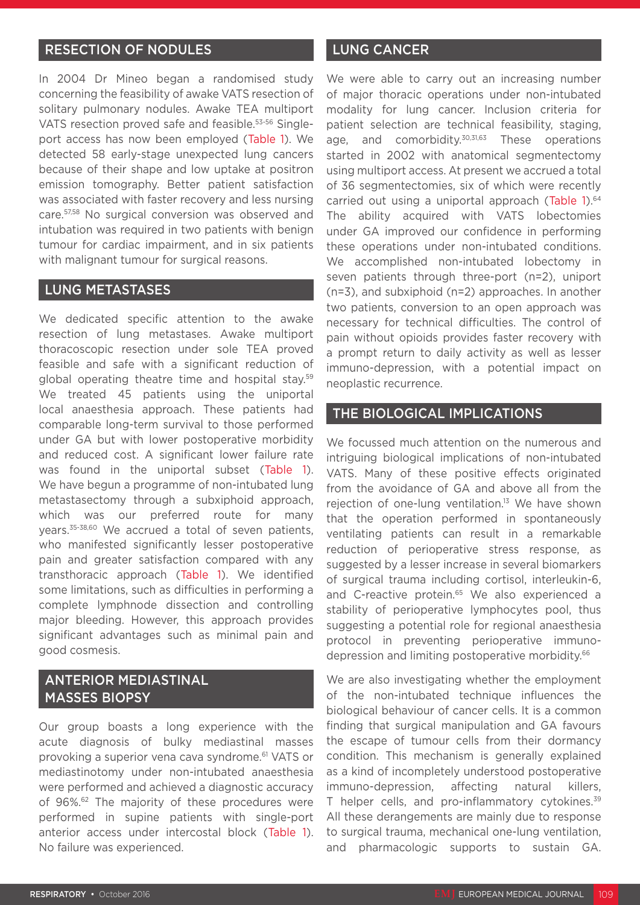### RESECTION OF NODULES

In 2004 Dr Mineo began a randomised study concerning the feasibility of awake VATS resection of solitary pulmonary nodules. Awake TEA multiport VATS resection proved safe and feasible.<sup>53-56</sup> Singleport access has now been employed (Table 1). We detected 58 early-stage unexpected lung cancers because of their shape and low uptake at positron emission tomography. Better patient satisfaction was associated with faster recovery and less nursing care.57,58 No surgical conversion was observed and intubation was required in two patients with benign tumour for cardiac impairment, and in six patients with malignant tumour for surgical reasons.

### LUNG METASTASES

We dedicated specific attention to the awake resection of lung metastases. Awake multiport thoracoscopic resection under sole TEA proved feasible and safe with a significant reduction of global operating theatre time and hospital stay.59 We treated 45 patients using the uniportal local anaesthesia approach. These patients had comparable long-term survival to those performed under GA but with lower postoperative morbidity and reduced cost. A significant lower failure rate was found in the uniportal subset (Table 1). We have begun a programme of non-intubated lung metastasectomy through a subxiphoid approach, which was our preferred route for many years.35-38,60 We accrued a total of seven patients, who manifested significantly lesser postoperative pain and greater satisfaction compared with any transthoracic approach (Table 1). We identified some limitations, such as difficulties in performing a complete lymphnode dissection and controlling major bleeding. However, this approach provides significant advantages such as minimal pain and good cosmesis.

# ANTERIOR MEDIASTINAL MASSES BIOPSY

Our group boasts a long experience with the acute diagnosis of bulky mediastinal masses provoking a superior vena cava syndrome.61 VATS or mediastinotomy under non-intubated anaesthesia were performed and achieved a diagnostic accuracy of 96%.<sup>62</sup> The majority of these procedures were performed in supine patients with single-port anterior access under intercostal block (Table 1). No failure was experienced.

### LUNG CANCER

We were able to carry out an increasing number of major thoracic operations under non-intubated modality for lung cancer. Inclusion criteria for patient selection are technical feasibility, staging, age, and comorbidity.<sup>30,31,63</sup> These operations started in 2002 with anatomical segmentectomy using multiport access. At present we accrued a total of 36 segmentectomies, six of which were recently carried out using a uniportal approach (Table 1).<sup>64</sup> The ability acquired with VATS lobectomies under GA improved our confidence in performing these operations under non-intubated conditions. We accomplished non-intubated lobectomy in seven patients through three-port (n=2), uniport (n=3), and subxiphoid (n=2) approaches. In another two patients, conversion to an open approach was necessary for technical difficulties. The control of pain without opioids provides faster recovery with a prompt return to daily activity as well as lesser immuno-depression, with a potential impact on neoplastic recurrence.

### THE BIOLOGICAL IMPLICATIONS

We focussed much attention on the numerous and intriguing biological implications of non-intubated VATS. Many of these positive effects originated from the avoidance of GA and above all from the rejection of one-lung ventilation.<sup>13</sup> We have shown that the operation performed in spontaneously ventilating patients can result in a remarkable reduction of perioperative stress response, as suggested by a lesser increase in several biomarkers of surgical trauma including cortisol, interleukin-6, and C-reactive protein.<sup>65</sup> We also experienced a stability of perioperative lymphocytes pool, thus suggesting a potential role for regional anaesthesia protocol in preventing perioperative immunodepression and limiting postoperative morbidity.<sup>66</sup>

We are also investigating whether the employment of the non-intubated technique influences the biological behaviour of cancer cells. It is a common finding that surgical manipulation and GA favours the escape of tumour cells from their dormancy condition. This mechanism is generally explained as a kind of incompletely understood postoperative immuno-depression, affecting natural killers, T helper cells, and pro-inflammatory cytokines.<sup>39</sup> All these derangements are mainly due to response to surgical trauma, mechanical one-lung ventilation, and pharmacologic supports to sustain GA.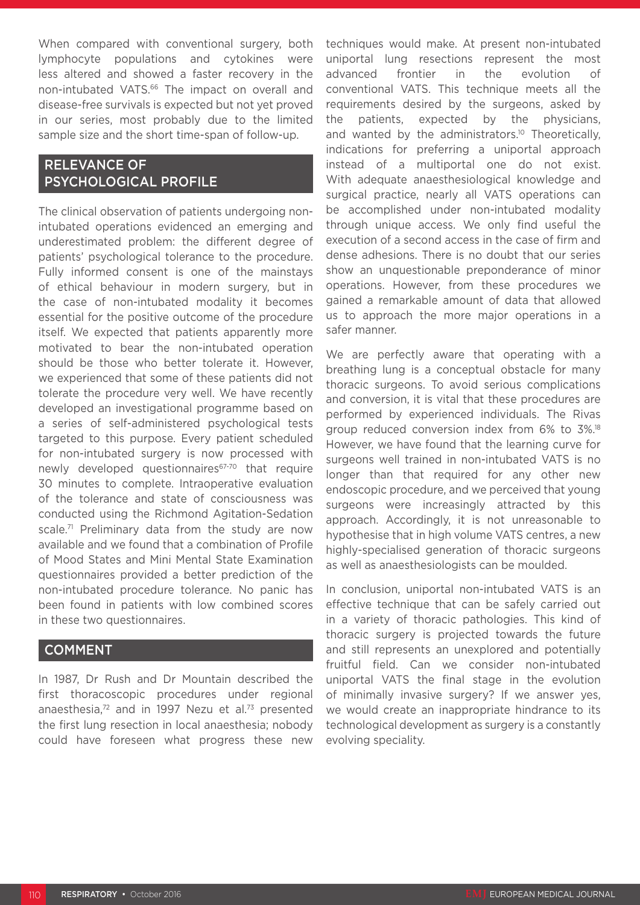When compared with conventional surgery, both lymphocyte populations and cytokines were less altered and showed a faster recovery in the non-intubated VATS.<sup>66</sup> The impact on overall and disease-free survivals is expected but not yet proved in our series, most probably due to the limited sample size and the short time-span of follow-up.

# RELEVANCE OF PSYCHOLOGICAL PROFILE

The clinical observation of patients undergoing nonintubated operations evidenced an emerging and underestimated problem: the different degree of patients' psychological tolerance to the procedure. Fully informed consent is one of the mainstays of ethical behaviour in modern surgery, but in the case of non-intubated modality it becomes essential for the positive outcome of the procedure itself. We expected that patients apparently more motivated to bear the non-intubated operation should be those who better tolerate it. However, we experienced that some of these patients did not tolerate the procedure very well. We have recently developed an investigational programme based on a series of self-administered psychological tests targeted to this purpose. Every patient scheduled for non-intubated surgery is now processed with newly developed questionnaires<sup>67-70</sup> that require 30 minutes to complete. Intraoperative evaluation of the tolerance and state of consciousness was conducted using the Richmond Agitation-Sedation scale.<sup>71</sup> Preliminary data from the study are now available and we found that a combination of Profile of Mood States and Mini Mental State Examination questionnaires provided a better prediction of the non-intubated procedure tolerance. No panic has been found in patients with low combined scores in these two questionnaires.

### COMMENT

In 1987, Dr Rush and Dr Mountain described the first thoracoscopic procedures under regional anaesthesia,<sup>72</sup> and in 1997 Nezu et al.<sup>73</sup> presented the first lung resection in local anaesthesia; nobody could have foreseen what progress these new

techniques would make. At present non-intubated uniportal lung resections represent the most advanced frontier in the evolution of conventional VATS. This technique meets all the requirements desired by the surgeons, asked by the patients, expected by the physicians, and wanted by the administrators.<sup>10</sup> Theoretically, indications for preferring a uniportal approach instead of a multiportal one do not exist. With adequate anaesthesiological knowledge and surgical practice, nearly all VATS operations can be accomplished under non-intubated modality through unique access. We only find useful the execution of a second access in the case of firm and dense adhesions. There is no doubt that our series show an unquestionable preponderance of minor operations. However, from these procedures we gained a remarkable amount of data that allowed us to approach the more major operations in a safer manner.

We are perfectly aware that operating with a breathing lung is a conceptual obstacle for many thoracic surgeons. To avoid serious complications and conversion, it is vital that these procedures are performed by experienced individuals. The Rivas group reduced conversion index from 6% to 3%.18 However, we have found that the learning curve for surgeons well trained in non-intubated VATS is no longer than that required for any other new endoscopic procedure, and we perceived that young surgeons were increasingly attracted by this approach. Accordingly, it is not unreasonable to hypothesise that in high volume VATS centres, a new highly-specialised generation of thoracic surgeons as well as anaesthesiologists can be moulded.

In conclusion, uniportal non-intubated VATS is an effective technique that can be safely carried out in a variety of thoracic pathologies. This kind of thoracic surgery is projected towards the future and still represents an unexplored and potentially fruitful field. Can we consider non-intubated uniportal VATS the final stage in the evolution of minimally invasive surgery? If we answer yes, we would create an inappropriate hindrance to its technological development as surgery is a constantly evolving speciality.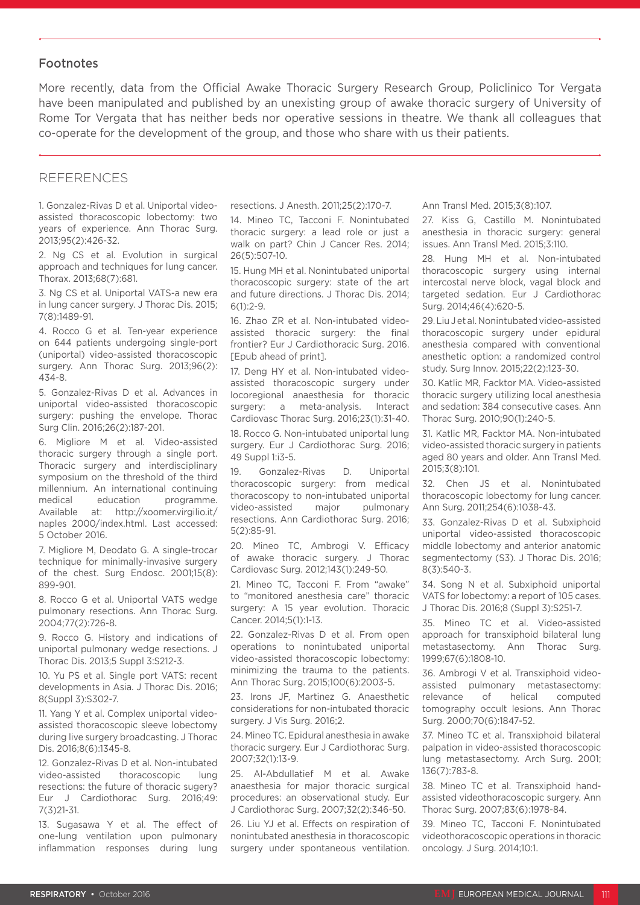### Footnotes

More recently, data from the Official Awake Thoracic Surgery Research Group, Policlinico Tor Vergata have been manipulated and published by an unexisting group of awake thoracic surgery of University of Rome Tor Vergata that has neither beds nor operative sessions in theatre. We thank all colleagues that co-operate for the development of the group, and those who share with us their patients.

### REFERENCES

1. Gonzalez-Rivas D et al. Uniportal videoassisted thoracoscopic lobectomy: two years of experience. Ann Thorac Surg. 2013;95(2):426-32.

2. Ng CS et al. Evolution in surgical approach and techniques for lung cancer. Thorax. 2013;68(7):681.

3. Ng CS et al. Uniportal VATS-a new era in lung cancer surgery. J Thorac Dis. 2015; 7(8):1489-91.

4. Rocco G et al. Ten-year experience on 644 patients undergoing single-port (uniportal) video-assisted thoracoscopic surgery. Ann Thorac Surg. 2013;96(2): 434-8.

5. Gonzalez-Rivas D et al. Advances in uniportal video-assisted thoracoscopic surgery: pushing the envelope. Thorac Surg Clin. 2016;26(2):187-201.

6. Migliore M et al. Video-assisted thoracic surgery through a single port. Thoracic surgery and interdisciplinary symposium on the threshold of the third millennium. An international continuing medical education programme. Available at: http://xoomer.virgilio.it/ naples 2000/index.html. Last accessed: 5 October 2016.

7. Migliore M, Deodato G. A single-trocar technique for minimally-invasive surgery of the chest. Surg Endosc. 2001;15(8): 899-901.

8. Rocco G et al. Uniportal VATS wedge pulmonary resections. Ann Thorac Surg. 2004;77(2):726-8.

9. Rocco G. History and indications of uniportal pulmonary wedge resections. J Thorac Dis. 2013;5 Suppl 3:S212-3.

10. Yu PS et al. Single port VATS: recent developments in Asia. J Thorac Dis. 2016; 8(Suppl 3):S302-7.

11. Yang Y et al. Complex uniportal videoassisted thoracoscopic sleeve lobectomy during live surgery broadcasting. J Thorac Dis. 2016;8(6):1345-8.

12. Gonzalez-Rivas D et al. Non-intubated video-assisted thoracoscopic lung resections: the future of thoracic sugery? Eur J Cardiothorac Surg. 2016;49: 7(3)21-31.

13. Sugasawa Y et al. The effect of one-lung ventilation upon pulmonary inflammation responses during lung

resections. J Anesth. 2011;25(2):170-7.

14. Mineo TC, Tacconi F. Nonintubated thoracic surgery: a lead role or just a walk on part? Chin J Cancer Res. 2014; 26(5):507-10.

15. Hung MH et al. Nonintubated uniportal thoracoscopic surgery: state of the art and future directions. J Thorac Dis. 2014;  $6(1) \cdot 2 - 9$ 

16. Zhao ZR et al. Non-intubated videoassisted thoracic surgery: the final frontier? Eur J Cardiothoracic Surg. 2016. [Epub ahead of print].

17. Deng HY et al. Non-intubated videoassisted thoracoscopic surgery under locoregional anaesthesia for thoracic surgery: a meta-analysis. Interact Cardiovasc Thorac Surg. 2016;23(1):31-40. 18. Rocco G. Non-intubated uniportal lung surgery. Eur J Cardiothorac Surg. 2016; 49 Suppl 1:i3-5.

19. Gonzalez-Rivas D. Uniportal thoracoscopic surgery: from medical thoracoscopy to non-intubated uniportal video-assisted major pulmonary resections. Ann Cardiothorac Surg. 2016; 5(2):85-91.

20. Mineo TC, Ambrogi V. Efficacy of awake thoracic surgery. J Thorac Cardiovasc Surg. 2012;143(1):249-50.

21. Mineo TC, Tacconi F. From "awake" to "monitored anesthesia care" thoracic surgery: A 15 year evolution. Thoracic Cancer. 2014;5(1):1-13.

22. Gonzalez-Rivas D et al. From open operations to nonintubated uniportal video-assisted thoracoscopic lobectomy: minimizing the trauma to the patients. Ann Thorac Surg. 2015;100(6):2003-5.

23. Irons JF, Martinez G. Anaesthetic considerations for non-intubated thoracic surgery. J Vis Surg. 2016;2.

24. Mineo TC. Epidural anesthesia in awake thoracic surgery. Eur J Cardiothorac Surg. 2007;32(1):13-9.

25. Al-Abdullatief M et al. Awake anaesthesia for major thoracic surgical procedures: an observational study. Eur J Cardiothorac Surg. 2007;32(2):346-50.

26. Liu YJ et al. Effects on respiration of nonintubated anesthesia in thoracoscopic surgery under spontaneous ventilation. Ann Transl Med. 2015;3(8):107.

27. Kiss G, Castillo M. Nonintubated anesthesia in thoracic surgery: general issues. Ann Transl Med. 2015;3:110.

28. Hung MH et al. Non-intubated thoracoscopic surgery using internal intercostal nerve block, vagal block and targeted sedation. Eur J Cardiothorac Surg. 2014;46(4):620-5.

29. Liu J et al. Nonintubated video-assisted thoracoscopic surgery under epidural anesthesia compared with conventional anesthetic option: a randomized control study. Surg Innov. 2015;22(2):123-30.

30. Katlic MR, Facktor MA. Video-assisted thoracic surgery utilizing local anesthesia and sedation: 384 consecutive cases. Ann Thorac Surg. 2010;90(1):240-5.

31. Katlic MR, Facktor MA. Non-intubated video-assisted thoracic surgery in patients aged 80 years and older. Ann Transl Med. 2015;3(8):101.

32. Chen JS et al. Nonintubated thoracoscopic lobectomy for lung cancer. Ann Surg. 2011;254(6):1038-43.

33. Gonzalez-Rivas D et al. Subxiphoid uniportal video-assisted thoracoscopic middle lobectomy and anterior anatomic segmentectomy (S3). J Thorac Dis. 2016; 8(3):540-3.

34. Song N et al. Subxiphoid uniportal VATS for lobectomy: a report of 105 cases. J Thorac Dis. 2016;8 (Suppl 3):S251-7.

35. Mineo TC et al. Video-assisted approach for transxiphoid bilateral lung metastasectomy. Ann Thorac Surg. 1999;67(6):1808-10.

36. Ambrogi V et al. Transxiphoid videoassisted pulmonary metastasectomy: relevance of helical computed tomography occult lesions. Ann Thorac Surg. 2000;70(6):1847-52.

37. Mineo TC et al. Transxiphoid bilateral palpation in video-assisted thoracoscopic lung metastasectomy. Arch Surg. 2001; 136(7):783-8.

38. Mineo TC et al. Transxiphoid handassisted videothoracoscopic surgery. Ann Thorac Surg. 2007;83(6):1978-84.

39. Mineo TC, Tacconi F. Nonintubated videothoracoscopic operations in thoracic oncology. J Surg. 2014;10:1.